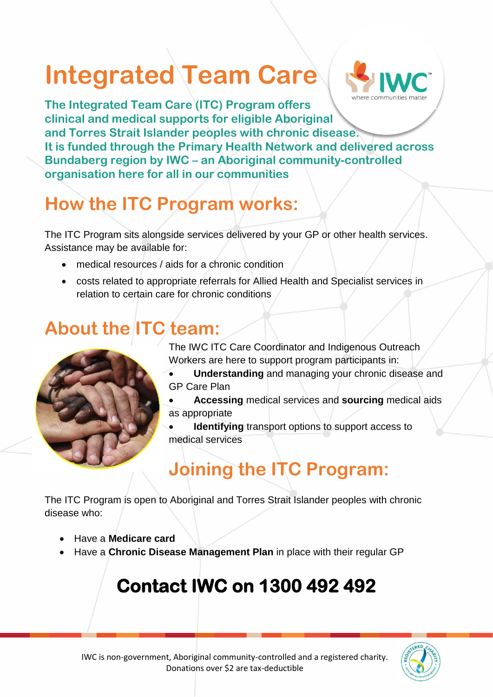# **Integrated Team Care**



**The Integrated Team Care (ITC) Program offers clinical and medical supports for eligible Aboriginal and Torres Strait Islander peoples with chronic disease. It is funded through the Primary Health Network and delivered across Bundaberg region by IWC – an Aboriginal community-controlled organisation here for all in our communities**

# **How the ITC Program works:**

The ITC Program sits alongside services delivered by your GP or other health services. Assistance may be available for:

- medical resources / aids for a chronic condition
- costs related to appropriate referrals for Allied Health and Specialist services in relation to certain care for chronic conditions

## **About the ITC team:**

The IWC ITC Care Coordinator and Indigenous Outreach Workers are here to support program participants in:

- **Understanding** and managing your chronic disease and GP Care Plan
- **Accessing** medical services and **sourcing** medical aids as appropriate

**Identifying** transport options to support access to medical services

## **Joining the ITC Program:**

The ITC Program is open to Aboriginal and Torres Strait Islander peoples with chronic disease who:

- Have a **Medicare card**
- Have a **Chronic Disease Management Plan** in place with their regular GP

# **Contact IWC on 1300 492 492**